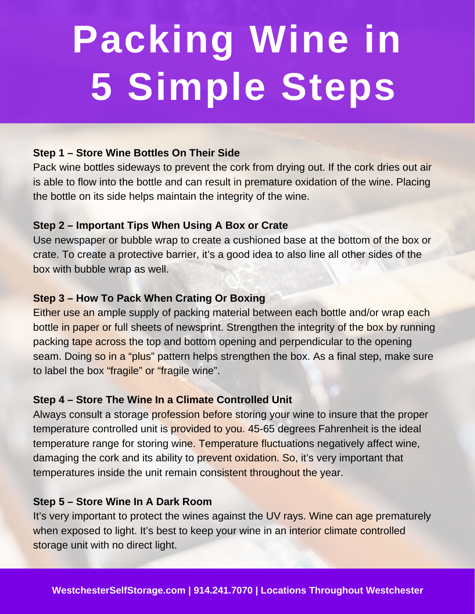# **Packing Wine in 5 Simple Steps**

## **Step 1 – Store Wine Bottles On Their Side**

Pack wine bottles sideways to prevent the cork from drying out. If the cork dries out air is able to flow into the bottle and can result in premature oxidation of the wine. Placing the bottle on its side helps maintain the integrity of the wine.

## **Step 2 – Important Tips When Using A Box or Crate**

Use newspaper or bubble wrap to create a cushioned base at the bottom of the box or crate. To create a protective barrier, it's a good idea to also line all other sides of the box with bubble wrap as well.

## **Step 3 – How To Pack When Crating Or Boxing**

Either use an ample supply of packing material between each bottle and/or wrap each bottle in paper or full sheets of newsprint. Strengthen the integrity of the box by running packing tape across the top and bottom opening and perpendicular to the opening seam. Doing so in a "plus" pattern helps strengthen the box. As a final step, make sure to label the box "fragile" or "fragile wine".

#### **Step 4 – Store The Wine In a Climate Controlled Unit**

Always consult a storage profession before storing your wine to insure that the proper temperature controlled unit is provided to you. 45-65 degrees Fahrenheit is the ideal temperature range for storing wine. Temperature fluctuations negatively affect wine, damaging the cork and its ability to prevent oxidation. So, it's very important that temperatures inside the unit remain consistent throughout the year.

#### **Step 5 – Store Wine In A Dark Room**

It's very important to protect the wines against the UV rays. Wine can age prematurely when exposed to light. It's best to keep your wine in an interior climate controlled storage unit with no direct light.